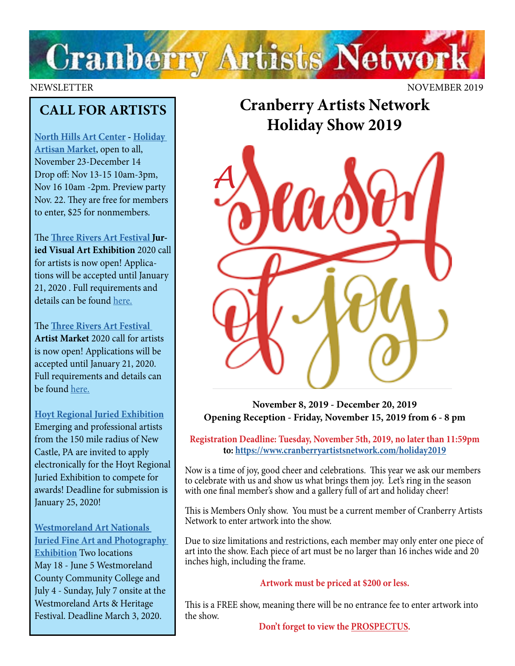

NEWSLETTER NOVEMBER 2019

## **CALL FOR ARTISTS**

**[North Hills Art Center](https://northhillsartcenter.org/) - [Holiday](https://traf.trustarts.org/traf_home/artists/artist-market-info)  [Artisan Market](https://traf.trustarts.org/traf_home/artists/artist-market-info)**, open to all, November 23-December 14 Drop off: Nov 13-15 10am-3pm, Nov 16 10am -2pm. Preview party Nov. 22. They are free for members to enter, \$25 for nonmembers.

The **[Three Rivers Art Festival J](https://traf.trustarts.org/traf_home/artists/juried-visual-art-exhibition)uried Visual Art Exhibition** 2020 call for artists is now open! Applications will be accepted until January 21, 2020 . Full requirements and details can be found [here.](https://traf.trustarts.org/traf_home/artists/juried-visual-art-exhibition)

The **[Three Rivers Art Festival](https://traf.trustarts.org/traf_home/artists/artist-market-info) Artist Market** 2020 call for artists is now open! Applications will be accepted until January 21, 2020. Full requirements and details can be found [here.](https://traf.trustarts.org/traf_home/artists/artist-market-info)

#### **[Hoyt Regional Juried Exhibition](https://www.hoytartcenter.org/contribute-products/hoyt-regional-juried-exhibition)**

Emerging and professional artists from the 150 mile radius of New Castle, PA are invited to apply electronically for the Hoyt Regional Juried Exhibition to compete for awards! Deadline for submission is January 25, 2020!

**[Westmoreland Art Nationals](https://artsandheritage.com/the-arts/art-nationals/)  [Juried Fine Art and Photography](https://artsandheritage.com/the-arts/art-nationals/)  [Exhibition](https://artsandheritage.com/the-arts/art-nationals/)** Two locations May 18 - June 5 Westmoreland County Community College and July 4 - Sunday, July 7 onsite at the Westmoreland Arts & Heritage Festival. Deadline March 3, 2020.

**Cranberry Artists Network Holiday Show 2019**



**November 8, 2019 - December 20, 2019 Opening Reception - Friday, November 15, 2019 from 6 - 8 pm**

**Registration Deadline: Tuesday, November 5th, 2019, no later than 11:59pm to: <https://www.cranberryartistsnetwork.com/holiday2019>**

Now is a time of joy, good cheer and celebrations. This year we ask our members to celebrate with us and show us what brings them joy. Let's ring in the season with one final member's show and a gallery full of art and holiday cheer!

This is Members Only show. You must be a current member of Cranberry Artists Network to enter artwork into the show.

Due to size limitations and restrictions, each member may only enter one piece of art into the show. Each piece of art must be no larger than 16 inches wide and 20 inches high, including the frame.

#### **Artwork must be priced at \$200 or less.**

This is a FREE show, meaning there will be no entrance fee to enter artwork into the show.

**Don't forget to view the [PROSPECTUS](https://docs.wixstatic.com/ugd/5391af_bb506ce7b39742be990d13750546c849.pdf).**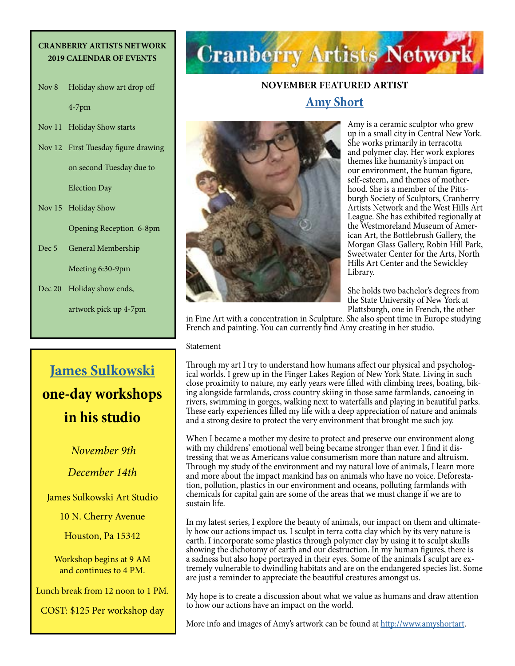#### **CRANBERRY ARTISTS NETWORK 2019 CALENDAR OF EVENTS**

Nov 8 Holiday show art drop off 4-7pm

Nov 11 Holiday Show starts

Nov 12 First Tuesday figure drawing on second Tuesday due to

Election Day

Nov 15 Holiday Show

Opening Reception 6-8pm

Dec 5 General Membership Meeting 6:30-9pm

Dec 20 Holiday show ends,

artwork pick up 4-7pm

## **[James Sulkowski](https://www.jamessulkowskifineart.com/) one-day workshops in his studio**

*November 9th December 14th*

James Sulkowski Art Studio

10 N. Cherry Avenue

Houston, Pa 15342

Workshop begins at 9 AM and continues to 4 PM.

Lunch break from 12 noon to 1 PM.

COST: \$125 Per workshop day

# **Cranberry Artists Network**

### **NOVEMBER FEATURED ARTIST [Amy Short](http://www.amyshortart)**



Amy is a ceramic sculptor who grew up in a small city in Central New York. She works primarily in terracotta and polymer clay. Her work explores themes like humanity's impact on our environment, the human figure, self-esteem, and themes of motherhood. She is a member of the Pittsburgh Society of Sculptors, Cranberry Artists Network and the West Hills Art League. She has exhibited regionally at the Westmoreland Museum of Amer ican Art, the Bottlebrush Gallery, the Morgan Glass Gallery, Robin Hill Park, Sweetwater Center for the Arts, North Hills Art Center and the Sewickley Library.

She holds two bachelor's degrees from the State University of New York at Plattsburgh, one in French, the other

in Fine Art with a concentration in Sculpture. She also spent time in Europe studying French and painting. You can currently find Amy creating in her studio.

Statement

Through my art I try to understand how humans affect our physical and psychological worlds. I grew up in the Finger Lakes Region of New York State. Living in such close proximity to nature, my early years were filled with climbing trees, boating, biking alongside farmlands, cross country skiing in those same farmlands, canoeing in rivers, swimming in gorges, walking next to waterfalls and playing in beautiful parks. These early experiences filled my life with a deep appreciation of nature and animals and a strong desire to protect the very environment that brought me such joy.

When I became a mother my desire to protect and preserve our environment along with my childrens' emotional well being became stronger than ever. I find it distressing that we as Americans value consumerism more than nature and altruism. Through my study of the environment and my natural love of animals, I learn more and more about the impact mankind has on animals who have no voice. Deforestation, pollution, plastics in our environment and oceans, polluting farmlands with chemicals for capital gain are some of the areas that we must change if we are to sustain life.

In my latest series, I explore the beauty of animals, our impact on them and ultimately how our actions impact us. I sculpt in terra cotta clay which by its very nature is earth. I incorporate some plastics through polymer clay by using it to sculpt skulls showing the dichotomy of earth and our destruction. In my human figures, there is a sadness but also hope portrayed in their eyes. Some of the animals I sculpt are extremely vulnerable to dwindling habitats and are on the endangered species list. Some are just a reminder to appreciate the beautiful creatures amongst us.

My hope is to create a discussion about what we value as humans and draw attention to how our actions have an impact on the world.

More info and images of Amy's artwork can be found at <http://www.amyshortart>.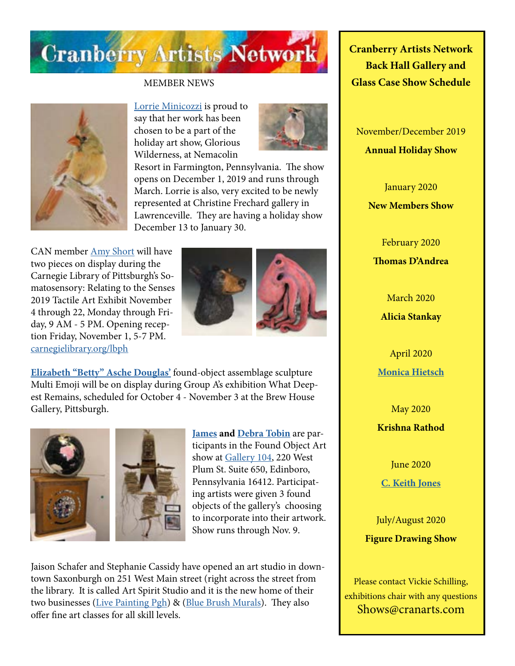

#### MEMBER NEWS



[Lorrie Minicozzi](https://www.climbingthewalls.net) is proud to say that her work has been chosen to be a part of the holiday art show, Glorious Wilderness, at Nemacolin



Resort in Farmington, Pennsylvania. The show opens on December 1, 2019 and runs through March. Lorrie is also, very excited to be newly represented at Christine Frechard gallery in Lawrenceville. They are having a holiday show December 13 to January 30.

CAN member [Amy Short](http://www.amyshortart) will have two pieces on display during the Carnegie Library of Pittsburgh's Somatosensory: Relating to the Senses 2019 Tactile Art Exhibit November 4 through 22, Monday through Friday, 9 AM - 5 PM. Opening reception Friday, November 1, 5-7 PM. [carnegielibrary.org/lbph](http://carnegielibrary.org/lbph)



**[Elizabeth "Betty" Asche Douglas](http://douglasartgallery.com/)'** found-object assemblage sculpture Multi Emoji will be on display during Group A's exhibition What Deepest Remains, scheduled for October 4 - November 3 at the Brew House Gallery, Pittsburgh.



**[James](http://www.jamestobinart.com) and [Debra Tobin](http://www.debratobinart.com)** are participants in the Found Object Art show at [Gallery 104](https://www.facebook.com/gallery104/), 220 West Plum St. Suite 650, Edinboro, Pennsylvania 16412. Participating artists were given 3 found objects of the gallery's choosing to incorporate into their artwork. Show runs through Nov. 9.

Jaison Schafer and Stephanie Cassidy have opened an art studio in downtown Saxonburgh on 251 West Main street (right across the street from the library. It is called Art Spirit Studio and it is the new home of their two businesses ([Live Painting Pgh\)](http://www.LivePaintingPgh.com) & [\(Blue Brush Murals](http://www.bluebrushmurals.com)). They also offer fine art classes for all skill levels.

**Cranberry Artists Network Back Hall Gallery and Glass Case Show Schedule** 

November/December 2019 **Annual Holiday Show**

> January 2020 **New Members Show**

February 2020 **Thomas D'Andrea**

March 2020 **Alicia Stankay**

April 2020 **[Monica Hietsch](https://www.monicahietsch.com/)**

May 2020 **Krishna Rathod**

June 2020 **[C. Keith Jones](http://ckeithjonesartist.com/)**

July/August 2020 **Figure Drawing Show**

Please contact Vickie Schilling, exhibitions chair with any questions Shows@cranarts.com